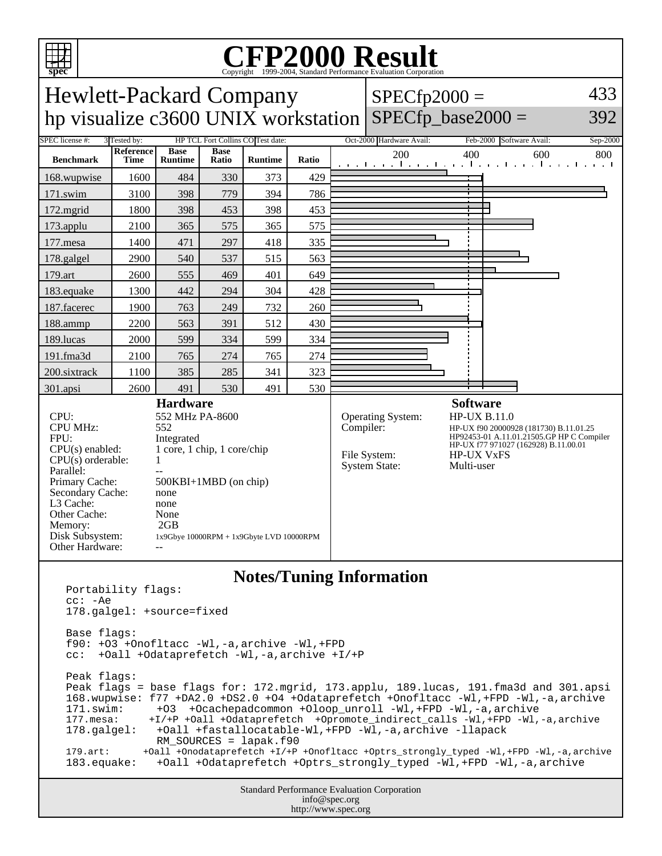

## Copyright ©1999-2004, Standard Performance Evaluation Corporation

Hewlett-Packard Company hp visualize c3600 UNIX workstation SPECfp\_base2000 =  $SPECfp2000 =$ 433 392 SPEC license #: 3 Tested by: HP TCL Fort Collins CO Test date: Oct-2000 Hardware Avail: Feb-2000 Software Avail: Sep-2000 **Benchmark Reference Time Base Runtime Base Ratio Runtime Ratio** 200 400 600 800 168.wupwise 1600 484 330 373 429 171.swim | 3100 | 398 | 779 | 394 | 786 172.mgrid | 1800 | 398 | 453 | 398 | 453 173.applu | 2100 | 365 | 575 | 365 | 575 177.mesa | 1400 | 471 | 297 | 418 | 335 178.galgel | 2900 | 540 | 537 | 515 | 563 179.art | 2600 | 555 | 469 | 401 | 649 183.equake 1300 442 294 304 428 187.facerec | 1900 | 763 | 249 | 732 | 260 188.ammp | 2200 | 563 | 391 | 512 | 430 189.lucas | 2000 | 599 | 334 | 599 | 334 191.fma3d 2100 765 274 765 274 200.sixtrack 1100 385 285 341 323 301.apsi | 2600 | 491 | 530 | 491 | 530 **Hardware** CPU: 552 MHz PA-8600<br>CPU MHz: 552 CPU MHz: FPU: Integrated CPU(s) enabled: 1 core, 1 chip, 1 core/chip  $CPU(s)$  orderable:  $1$ Parallel:<br>Primary Cache: 500KBI+1MBD (on chip) Secondary Cache: none L3 Cache: none Other Cache: None Memory: 2GB Disk Subsystem: 1x9Gbye 10000RPM + 1x9Gbyte LVD 10000RPM Other Hardware: **Software** Operating System: HP-UX B.11.0<br>Compiler: HP-UX f90 200009 HP-UX f90 20000928 (181730) B.11.01.25 HP92453-01 A.11.01.21505.GP HP C Compiler HP-UX f77 971027 (162928) B.11.00.01 File System: HP-UX VxFS<br>System State: Multi-user System State: **Notes/Tuning Information**

```
Portability flags:
cc: -Ae
178.galgel: +source=fixed
Base flags:
f90: +O3 +Onofltacc -Wl,-a,archive -Wl,+FPD 
cc: +Oall +Odataprefetch -Wl,-a,archive +I/+P
Peak flags:
Peak flags = base flags for: 172.mgrid, 173.applu, 189.lucas, 191.fma3d and 301.apsi
168.wupwise: f77 +DA2.0 +DS2.0 +O4 +Odataprefetch +Onofltacc -Wl,+FPD -Wl,-a,archive 
171.swim: +O3 +Ocachepadcommon +Oloop_unroll -Wl,+FPD -Wl,-a,archive<br>177.mesa: +I/+P +Oall +Odataprefetch +Opromote indirect calls -Wl,+FPD -Wl,
              177.mesa: +I/+P +Oall +Odataprefetch +Opromote_indirect_calls -Wl,+FPD -Wl,-a,archive 
178.galgel: +Oall +fastallocatable-Wl,+FPD -Wl,-a,archive -llapack 
                 RM_SOURCES = lapak.f90
179.art: +Oall +Onodataprefetch +I/+P +Onofltacc +Optrs_strongly_typed -Wl,+FPD -Wl,-a,archive
183.equake: +Oall +Odataprefetch +Optrs_strongly_typed -Wl,+FPD -Wl,-a,archive
```
Standard Performance Evaluation Corporation info@spec.org http://www.spec.org